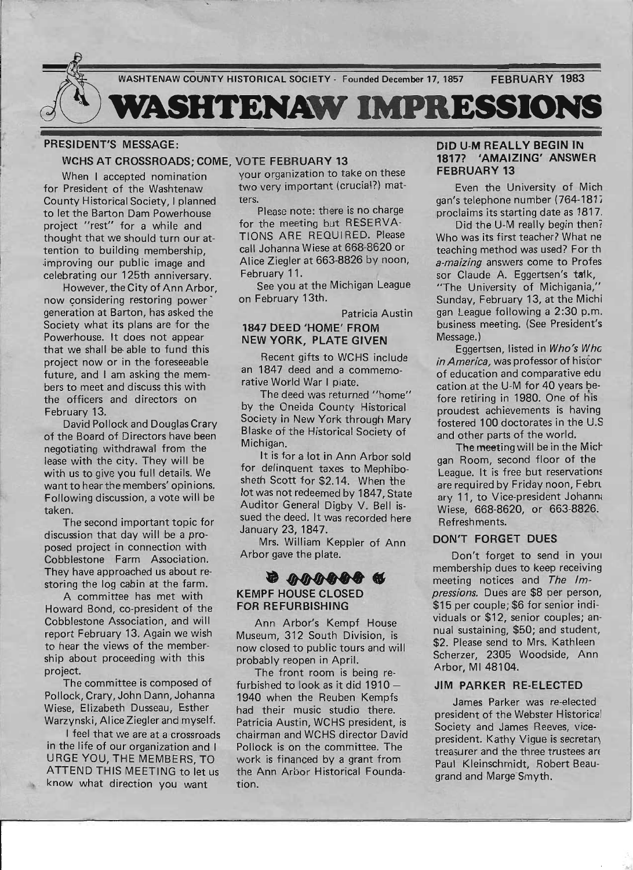

## PRESIDENT'S MESSAGE:

#### WCHS AT CROSSROADS; COME, VOTE FEBRUARY 13

for President of the Washtenaw two very important (crucial?) mat-County Historical Society, I planned ters.<br>to let the Barton Dam Powerhouse Please note: there is no charge to let the Barton Dam Powerhouse Please note: there is no charge<br>project "rest" for a while and for the meeting but RESERVAproject "rest" for a while and for the meeting but RESERVA-<br>thought that we should turn our at. TIONS ARE REQUIRED. Please thought that we should turn our at-<br>tention to building membership and Johanna Wiese at 668-8620 or tention to building membership, call Johanna Wiese at 668-8620 or improving our public image and celebrating our 125th anniversary. February 11.<br>However the City of Ann Arbor See you at the Michigan League

However, the City of Ann Arbor, See you at the Michigan League of the Michigan League V and the Michigan League V and Take V and Take V and Take V and Take V and Take V and Take V and Take V and Take V and Take V and Take now considering restoring power generation at Barton, has asked the Society what its plans are for the Powerhouse. It does not appear that we shall be- able to fund this project now or in the foreseeable future, and I am asking the members to meet and discuss this with the officers and directors on February 13.

David Pollock and Douglas Crary of the Board of Directors have been negotiating withdrawal from the lease with the city. They will be with us to give you full details. We want to hear the members' opinions. Following discussion, a vote will be taken.

The second important topic for discussion that day will be a proposed project in connection with Cobblestone Farm Association. They have approached us about restoring the log cabin at the farm.

A committee has met with Howard Bond, co-president of the Cobblestone Association, and will report February 13. Again we wish to hear the views of the membership about proceeding with this project.

The committee is composed of Pollock, Crary, John Dann, Johanna Wiese, Elizabeth Dusseau, Esther Warzynski, Alice Ziegler and myself.

I feel that we are at a crossroads in the life of our organization and I URGE YOU, THE MEMBERS, TO ATTEND THIS MEETING to let us know what direction you want

When I accepted nomination your organization to take on these

#### Patricia Austin 1847 DEED 'HOME' FROM NEW YORK, PLATE GIVEN

Recent gifts to WCHS include an 1847 deed and a commemorative World War I plate.

The deed was returned "home" by the Oneida County Historical Society in New York through Mary Blaske of the Historical Society of Michigan.

It is for a lot in Ann Arbor sold for delinquent taxes to Mephibosheth Scott for \$2.14. When the lot was not redeemed by 1847, State Auditor General Digby V. Bell issued the deed. It was recorded here January 23, 1847.

Mrs. William Keppler of Ann **........**  Arbor gave the plate.

# KEMPF HOUSE CLOSED FOR REFURBISHING

Ann Arbor's Kempf House Museum, 312 South Division, is now closed to public tours and will probably reopen in April.

The front room is being refurbished to look as it did 1910 -1940 when the Reuben Kempfs had their music studio there. Patricia Austin, WCHS president, is chairman and WCHS director David Pollock is on the committee. The work is financed by a grant from the Ann Arbor Historical Foundation.

#### DID U-M REALLY BEGIN IN 1817? 'AMAIZING' ANSWER FEBRUARY 13

Even the University of Mich gan's telephone number (764-1817 proclaims its starting date as 1817.

Did the U-M really begin then? Who was its first teacher? What ne teaching method was used? For th *a-maizing* answers come to Profes sor Claude A. Eggertsen's talk, "The University of Michigania," Sunday, February 13, at the Michi gan League following a 2:30 p.m. business meeting. (See President's Message.)

Eggertsen, listed in Who's Whc *in America, was professor of histor* of education and comparative edu cation at the U-M for 40 years before retiring in 1980. One of h'is proudest achievements is having fostered 100 doctorates in the U.S and other parts of the world.

The meeting will be in the Mict gan Room, second floor of the League. It is free but reservatiom are required by Friday noon, Febru ary 11, to Vice-president Johann. Wiese, 668-8620, or 663-8826. Refreshments.

#### DON'T FORGET DUES

Don't forget to send in youl membership dues to keep receiving meeting notices and The Im*pressions.* Dues are \$8 per person, \$15 per couple; \$6 for senior individuals or \$12, senior couples; annual sustaining, \$50; and student, \$2. Please send to Mrs. Kathleen Scherzer, 2305 Woodside, Ann Arbor, MI 48104.

#### JIM PARKER RE-ELECTED

James Parker was re-elected president of the Webster Historica! Society and James Reeves, vicepresident. Kathy Vigue is secretary treasurer and the three trustees are Paul Kleinschmidt, Robert Beaugrand and Marge Smyth.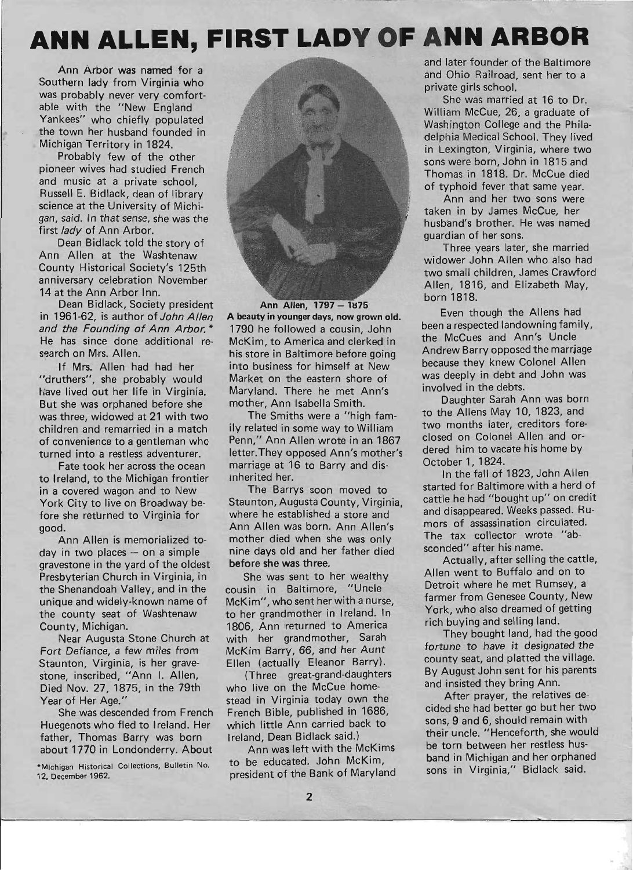# **ANN ALLEN, FIRST LADY OF ANN ARBOR**

Ann Arbor was named for a Southern lady from Virginia who was probably never very comfortable with the "New England Yankees" who chiefly populated the town her husband founded in Michigan Territory in 1824.

Probably few of the other pioneer wives had studied French and music at a private school, Russell E. Bidlack, dean of library science at the University of Michigan, said. In that sense, she was the first *lady* of Ann Arbor.

Dean Bidlack told the story of Ann Allen at the Washtenaw County Historical Society's 125th anniversary celebration November 14 at the Ann Arbor Inn.

Dean Bidlack, Society president in 1961-62, is author of John Allen and the Founding of Ann Arbor. \* He has since done additional research on Mrs. Allen.

If Mrs. Allen had had her "druthers", she probably would I iave lived out her life in Virginia. But she was orphaned before she was three, widowed at 21 with two children and remarried in a match of convenience to a gentleman who turned into a restless adventurer.

Fate took her across the ocean to Ireland, to the Michigan frontier in a covered wagon and to New York City to live on Broadway before she returned to Virginia for good.

Ann Allen is memorialized today in two places  $-$  on a simple gravestone in the yard of the oldest Presbyterian Church in Virginia, in the Shenandoah Valley, and in the unique and widely-known name of the county seat of Washtenaw County, Michigan.

Near Augusta Stone Church at Fort Defiance, a few miles from Staunton, Virginia, is her gravestone, inscribed, "Ann I. Allen, Died Nov. 27, 1875, in the 79th Year of Her Age."

She was descended from French Huegenots who fled to Ireland. Her father, Thomas Barry was born about 1770 in Londonderry. About

-Michigan Historical Collections, Bulletin No. 12, December 1962.



Ann Allen, 1797 - 1875 A beauty in younger days, now grown old. 1790 he followed a cousin, John McKim, to America and clerked in his store in Baltimore before going into business for himself at New Market on the eastern shore of Maryland. There he met Ann's mother, Ann Isabella Smith.

The Smiths were a "high family related in some way to William Penn," Ann Allen wrote in an 1867 letter. They opposed Ann's mother's marriage at 16 to Barry and disinherited her.

The Barrys soon moved to Staunton, Augusta County, Virginia, where he established a store and Ann Allen was born. Ann Allen's mother died when she was only nine days old and her father died before she was three.

She was sent to her wealthy cousin in Baltimore, "Uncle McKim", who sent her with a nurse, to her grandmother in Ireland. In 1806, Ann returned to America with her grandmother, Sarah McKim Barry, 66, and her Aunt Ellen (actually Eleanor Barry).

(Three great-grand-daughters who live on the McCue homestead in Virginia today own the French Bible, published in 1686, which little Ann carried back to Ireland, Dean Bidlack said.)

Ann was left with the McKims to be educated. John McKim, president of the Bank of Maryland and later founder of the Baltimore and Ohio Railroad, sent her to a private girls school.

She was married at 16 to Dr. William McCue, 26, a graduate of Washington College and the Philadelphia Medical School. They lived in Lexington, Virginia, where two sons were born, John in 1815 and Thomas in 1818. Dr. McCue died of typhoid fever that same year.

Ann and her two sons were taken in by James McCue, her husband's brother. He was named guardian of her sons.

Three years later, she married widower John Allen who also had two small children, James Crawford Allen, 1816, and Elizabeth May, born 1818.

Even though the Aliens had been a respected landowning family, the McCues and Ann's Uncle Andrew Barry opposed the marrjage because they knew Colonel Allen was deeply in debt and John was involved in the debts.

Daughter Sarah Ann was born to the Aliens May 10, 1823, and two months later, creditors foreclosed on Colonel Allen and ordered him to vacate his home by October 1, 1824.

In the fall of 1823, John Allen started for Baltimore with a herd of cattle he had "bought up" on credit and disappeared. Weeks passed. Rumors of assassination circulated. The tax collector wrote "absconded" after his name.

Actually, after selling the cattle, Allen went to Buffalo and on to D'etroit where he met Rumsey, a farmer from Genesee County, New York, who also dreamed of getting rich buying and selling land.

They bought land, had the good fortune to have it designated the county seat, and platted the village. By August John sent for his parents and insisted they bring Ann.

After prayer, the relatives decided she had better go but her two sons, 9 and 6, should remain with their uncle. " Henceforth, she would be torn between her restless husband in Michigan and her orphaned sons in Virginia," Bidlack said.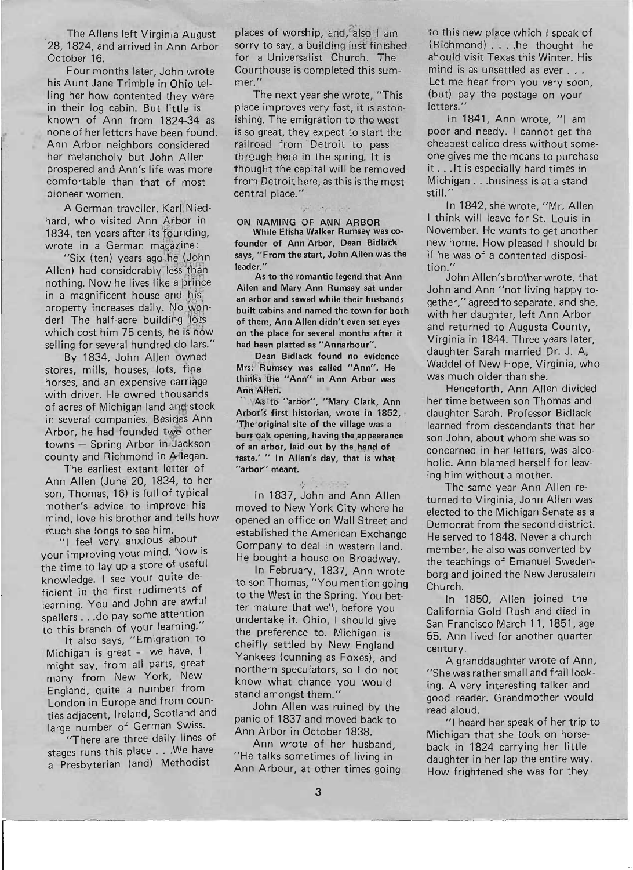The Aliens left Virginia August 28, 1824, and arrived in Ann Arbor October 16.

,

Four months later, John wrote his Aunt Jane Trimble in Ohio telling her how contented they were in their log cabin. But little is known of Ann from 1824-34 as none of her letters have been found. Ann Arbor neighbors considered her melancholy but John Allen prospered and Ann's life was more comfortable than that of most pioneer women.

A German traveller, Karl Niedhard, who visited Ann Arbor in 1834, ten years after its founding, wrote in a German magazine:

"Six (ten) years ago he (John Allen) had considerably less than nothing. Now he lives like a prince in a magnificent house and his property increases daily. No wonder! The half-acre building lots which cost him 75 cents, he is now selling for several hundred dollars."

By 1834, John Allen owned stores, mills, houses, lots, fine horses, and an expensive carriage with driver. He owned thousands of acres of Michigan land and stock in several companies. Besides Ann Arbor, he had founded two other towns - Spring Arbor in Jackson county and Richmond in Allegan.

The earliest extant letter of Ann Allen (June 20, 1834, to her son, Thomas, 16) is full of typical mother's advice to improve his mind, love his brother and tells how much she longs to see him.

"I feel very anxious about your improving your mind. Now is the time to lay up a store of useful knowledge. I see your qUite deficient in the first rudiments of learning. You and John are awful spellers . . . do pay some attention to this branch of your learning.

It also says, "Emigration to Michigan is great  $-$  we have, I might say, from all parts, great many from New York, New England, quite a number from London in Europe and from counties adjacent, Ireland, Scotland and large number of German Swiss.

"There are three daily lines of stages runs this place . . . We have a Presbyterian (and) Methodist

places of worship, and, also I am sorry to say, a building just finished for a Universalist Church. The Courthouse is completed this summer."

The next year she wrote, "This place improves very fast, it is aston· ishing. The emigration to the west is so great, they expect to start the railroad from Detroit to pass through here in the spring. It is thought the capital will be removed from Detroit here, as this is the most central place."

ON NAMING OF ANN ARBOR While Elisha Walker Rumsey was cofounder of Ann Arbor, Dean BidlacK' says, "From the start, John Allen was the leader."

As to the romantic legend that Ann Allen and Mary Ann Rumsey sat under an arbor and sewed while their husbands built cabins and named the town for both of them, Ann Allen didn't even set eyes on the place for several months after it had been platted as "Annarbour".

Dean Bidlack found no evidence Mrs; "Rumsey was called "Ann". He thinks the "Ann" in Ann Arbor was Ann Allen.

As to "arbor", "Mary Clark, Ann Arbor's first historian, wrote in 1852, 'The original site of the village was a burr oak opening, having the appearance of an arbor, laid out by the hand of taste: " In Allen's day, that is what "arbor" meant.

'*I'* ... In 1837, John and Ann Allen moved to New York City where he opened an office on Wall Street and established the American Exchange Company to deal in western land. He bought a house on Broadway.

. In February, 1837, Ann wrote to son Thomas, "You mention going to the West in the Spring. You better mature that well, before you undertake it. Ohio, I should give the preference to. Michigan is cheifly settled by New England Yankees (cunning as Foxes), and northern speculators, so I do not know what chance you would stand amongst them."

John Allen was ruined by the panic of 1837 and moved back to Ann Arbor in October 1838.

Ann wrote of her husband, "He talks sometimes of living in Ann Arbour, at other times going

to this new place which I speak of (Richmond) .. . .. he thought he ahould visit Texas this Winter. His mind is as unsettled as ever . . . Let me hear from you very soon, (but) pay the postage on your letters.'

In 1841, Ann wrote, "I am poor and needy. I cannot get the cheapest calico dress without someone gives me the means to purchase it . . . It is especially hard times in Michigan . . .business is at a standstill."

In 1842, she wrote, "Mr. Allen I think will leave for St. Louis in November. He wants to get another new home. How pleased I should be if he was of a contented disposition."

John Allen's brother wrote, that John and Ann "not living happy together," agreed to separate, and she, with her daughter, left Ann Arbor and returned to Augusta County, Virginia in 1844. Three years later, daughter Sarah married Dr. J. A. Waddel of New Hope, Virginia, who was much older than she.

Henceforth, Ann Allen divided her time between son Thomas and daughter Sarah. Professor Bidlack learned from descendants that her son John, about whom she was so concerned in her letters, was alcoholic. Ann blamed herself for leaving him without a mother.

The same year Ann Allen returned to Virginia, John Allen was elected to the Michigan Senate as a Democrat from the second district. He served to 1848. Never a church member, he also was converted by the teachings of Emanuel Swedenborg and joined the New Jerusalem Church.

In 1850, Allen joined the California Gold Rush and died in San Francisco March 11, 1851, age 55. Ann lived for another quarter century.

A granddaughter wrote of Ann, "She was rather small and frail looking. A very interesting talker and good reader. Grandmother would read aloud.

"I heard her speak of her trip to Michigan that she took on horseback in 1824 carrying her little daughter in her lap the entire way. How frightened she was for they

:-'.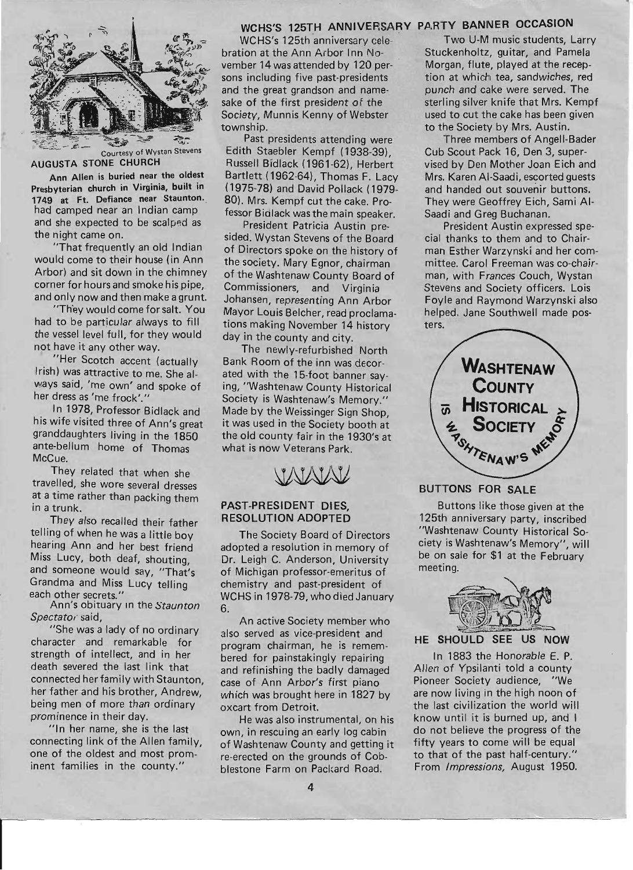

#### AUGUSTA STONE CHURCH

Ann Allen is buried near the oldest Presbyterian church in Virginia, built in 1749 at Ft. Defiance near Staunton. had camped near an Indian camp and she expected to be scalped as the night came on.

"That frequently an old Indian would come to their house (in Ann Arbor) and sit down in the chimney corner for hours and smoke his pipe, and only now and then make a grunt.

"They would come for salt. You had to be particular always to fill the vessel level full, for they would not have it any other way.

"Her Scotch accent (actually Irish) was attractive to me. She alvvays said, 'me own' and spoke of her dress as 'me frock'."

In 1978, Professor Bidlack and his wife visited three of Ann's great granddaughters living in the 1850 ante-bellum home of Thomas McCue.

They related that when she travelled, she wore several dresses at a time rather than packing them in a trunk.

They also recalled their father telling of when he was a little boy hearing Ann and her best friend Miss Lucy, both deaf, shouting, and someone would say, "That's Grandma and Miss Lucy telling each other secrets."

Ann's obituary In the *Staunton*  Spectato<sub>i</sub> said,

"She was a lady of no ordinary character and remarkable for strength of intellect, and in her death severed the last link that connected her family with Staunton, her father and his brother, Andrew, being men of more than ordinary prominence in their day.

"In her name, she is the last connecting link of the Allen family, one of the oldest and most prominent families in the county."

# WCHS'S 125TH ANNIVERSARY PARTY BANNER OCCASION

WCHS's 125th anniversary celebration at the Ann Arbor Inn November 14 was attended by 120 persons including five past-presidents and the great grandson and namesake of the first president of the Society, Munnis Kenny of Webster township.

Past presidents attending were Edith Staebler Kempf (1938-39), Russell Bidlack (1961-62), Herbert Bartlett (1962-64), Thomas F. Lacy (1975-78) and David Pollack (1979- 80). Mrs. Kempf cut the cake. Professor Bidlack was the main speaker.

President Patricia Austin presided. Wystan Stevens of the Board of Directors spoke on the history of the society. Mary Egnor, chairman of the Washtenaw County Board of Commissioners, and Virginia Johansen, representing Ann Arbor Mayor Louis Belcher, read proclamations making November 14 history day in the county and city.

The newly-refurbished North Bank Room of the inn was decorated with the 15-foot banner saying, "Washtenaw County Historical Society is Washtenaw's Memory." Made by the Weissinger Sign Shop. it was used in the Society booth at the old county fair in the 1930's at what is now Veterans Park.

#### PAST-PRESIDENT DIES, RESOLUTION ADOPTED

The Society Board of Directors adopted a resolution in memory of Dr. Leigh C. Anderson, University of Michigan professor-emeritus of chemistry and past-president of WCHS in 1978-79, who died January 6.

An active Society member who also served as vice-president and program chairman, he is remembered for painstakingly repairing and refinishing the badly damaged case of Ann Arbor's first piano which was brought here in 1827 by oxcart from Detroit.

He was also instrumental, on his own, in rescuing an early log cabin of Washtenaw County and getting it re-erected on the grounds of Cobblestone Farm on Packard Road.

Two U-M music students, Larry Stuckenholtz, guitar, and Pamela Morgan, flute, played at the reception at which tea, sandwiches, red punch and cake were served. The sterling silver knife that Mrs. Kempf used to cut the cake has been given to the Society by Mrs. Austin.

Three members of Angell-Bader Cub Scout Pack 16, Den 3, supervised by Den Mother Joan Eich and Mrs. Karen AI-Saadi, escorted guests and handed out souvenir buttons. They were Geoffrey Eich, Sami AI-Saadi and Greg Buchanan.

President Austin expressed special thanks to them and to Chairman Esther Warzynski and her committee. Carol Freeman was co-chairman, with Frances Couch, Wystan Stevens and Society officers. Lois Foyle and Raymond Warzynski also helped. Jane Southwell made posters.



#### BUTTONS FOR SALE

Buttons like those given at the 125th anniversary party, inscribed "Washtenaw County Historical Society is Washtenaw's Memory", will be on sale for \$1 at the February meeting.



#### HE SHOULD SEE US NOW

In 1883 the Honorable E. P. Allen of Ypsilanti told a county Pioneer Society audience, "We are now living in the high noon of the last civilization the world will know until it is burned up, and I do not believe the progress of the fifty years to come will be equal to that of the past half-century.' From *Impressions,* August 1950.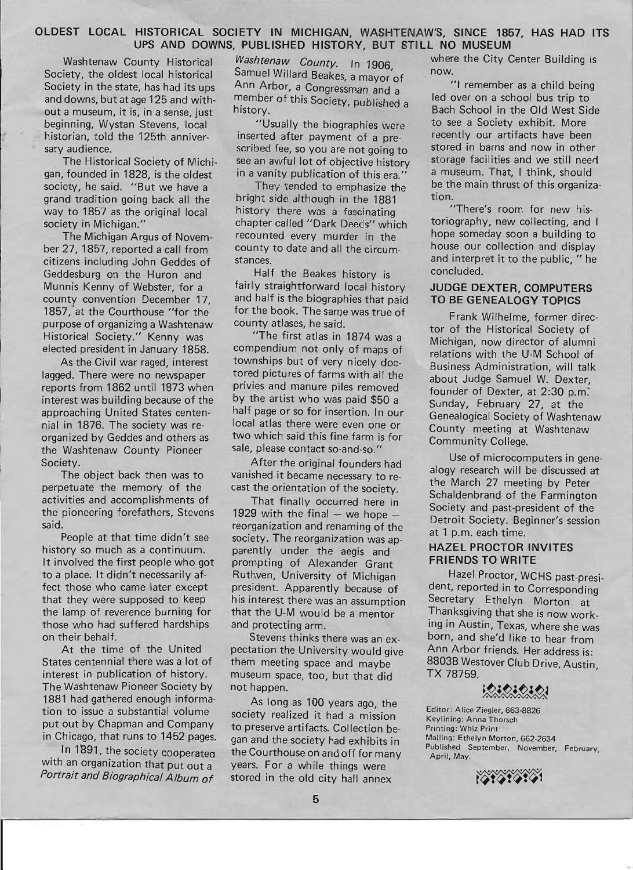### **OLDEST LOCAL HISTORICAL SOCIETY IN MICHIGAN, WASHTENAW'S, SINCE 1857, HAS HAD ITS UPS AND DOWNS, PUBLISHED HISTORY, BUT STILL NO MUSEUM**

out a museum, it is, in a sense, just beginning, Wystan Stevens, local "Usually the biographies were to see a Society exhibit. More<br>historian told the 125th anniver- inserted after payment of a pre- recently our artifacts have been historian, told the 125th anniver- inserted after payment of a pre-

gan, founded in 1828, is the oldest in a vanity publication of this era." a museum. That, I think, should society he said "But we have a They tended to emphasize the be the main thrust of this organizasociety, he said. "But we have a They tended to emphasize the

citizens including John Geddes of stances. Geddesburg on the Huron and Half the Beakes history is concluded. 1857, at the Courthouse "for the for the book. The same was true of purpose of organizing a Washtenaw county atlases, he said. Historical Society." Kenny was "The first atlas in 1874 was a elected president in January 1858. compendium not only of maps of

lagged. There were no newspaper tored pictures of farms with all the renorts from 1862 until 1873 when privies and manure piles removed reports from 1862 until 1873 when interest was building because of the by the artist who was paid \$50 a approaching United States centen- half page or so for insertion. In our nial in 1876. The society was re- local atlas there were even one or organized by Geddes and others as two which said this fine farm is for<br>the Washtenaw County Pioneer sale, please contact so-and-so." the Washtenaw County Pioneer

perpetuate the memory of the cast the orientation of the society. activities and accomplishments of That finally occurred here in the pioneering forefathers, Stevens 1929 with the final  $-$  we hope  $-$ 

history so much as a continuum. parently under the aegis and It involved the first people who got prompting of Alexander Grant to a place. It didn't necessarily af-<br>Ruthven, University of Michigan fect those who came later except president. Apparently because of the lamp of reverence burning for that the U-M would be a mentor those who had suffered hardships and protecting arm. on their behalf. Stevens thinks there was an ex-

States centennial there was a lot of them meeting space and maybe interest in publication of history. museum space, too, but that did The Washtenaw Pioneer Society by not happen. 1881 had gathered enough informa-<br>
As long as 100 years ago, the<br>
tion to issue a substantial volume<br>
society realized it had a mission tion to issue a substantial volume society realized it had a mission<br>put out by Chapman and Company to presence artifacts. Collection has put out by Chapman and Company to preserve artifacts. Collection be-<br>in Chicago, that runs to 1452 pages, and and the society had oxhibite in

with an organization that put out a years. For a while things were

Society, the oldest local historical Samuel Willard Beakes, a mayor of now.<br>Society in the state has had its ups Ann Arbor, a Congressman and "I remember as a child being Society in the state, has had its ups Ann Arbor, a Congressman and a "I remember as a child being<br>and downs, but at age 125 and with-<br>member of this Society nublished a led over on a school bus trip to member of this Society, published a<br>history.<br>Bach School in the Old West Side

sary audience. Scribed fee, so you are not going to stored in barns and now in other The Historical Society of Michi-<br>
founded in 1828 is the oldest in a vanity publication of this era "a museum. That, I think, should

grand tradition going back all the bright side although in the  $1881$  tion.<br>Way to  $1857$  as the original local history there was a fascinating "There's room for new hisway to 1857 as the original local history there was a fascinating "There's room for new his-<br>society in Michigan "Society in Michigan" society in Michigan of the chapter called "Dark Deeds" which toriography, new collectin society in Michigan." chapter called "Dark Deeds" which toriography, new collecting, and I<br>The Michigan Argus of Novem recounted every murder in the hope someday soon a building to The Michigan Argus of Novem-<br>27 1857 reported a call from county to date and all the circum-<br>27 1857 reported a call from county to date and all the circumber 27, 1857, reported a call from county to date and all the circum-<br>
citizens including John Geddes of stances.<br>
and interpret it to the public, "he

Munnis Kenny of Webster, for a fairly straightforward local history **JUDGE DEXTER, COMPUTERS**  county convention December 17, and half is the biographies that paid **TO BE GENEALOGY TOPICS** 

As the Civil war raged, interest townships but of very nicely doc-

Society. **After the original founders had** The object back then was to vanished it became necessary to re-

said. reorganization and renaming of the<br>People at that time didn't see society. The reorganization was an society. The reorganization was apthat they were supposed to keep his interest there was an assumption

At the time of the United pectation the University would give

hicago, that runs to 1452 pages. gan and the society had exhibits in<br>In 1891, the society cooperaten the Courthouse on and off for many the Courthouse on and off for many Portrait and Biographical Album of stored in the old city hall annex

Washtenaw County Historical *Washtenaw County*. In 1906, where the City Center Building is

Frank Wilhelme, former director of the Historical Society of Michigan, now director of alumni relations with the U-M School of Business Administration, will talk about Judge Samuel W. Dexter, founder of Dexter, at 2:30 p.m. Sunday, February 27, at the Genealogical Society of Washtenaw County meeting at Washtenaw Community College.

Use of microcomputers in genealogy research will be discussed at the March 27 meeting by Peter Schaldenbrand of the Farmington Society and past-president of the Detroit Society. Beginner's session at 1 p.m. each time.

#### **HAZEL PROCTOR INVITES FRIENDS TO WRITE**

Hazel Proctor, WCHS past-president, reported in to Corresponding Secretary Ethelyn Morton at Thanksgiving that she is now working in Austin, Texas, where she was born, and she'd like to hear from Ann Arbor friends. Her address is: 8803B Westover Club Drive, Austin TX 78759. triends. Her address is:<br>tover Club Drive, Austin,<br>**A. C. C. C. C.**<br>iedler, 663-8826

Editor: Alice Ziegler, 663-8826 Keylining: Anna Thorsch Printing: Whiz Print Mailing: Ethelyn Morton, 662-2634 Published September, November, February, April, May.